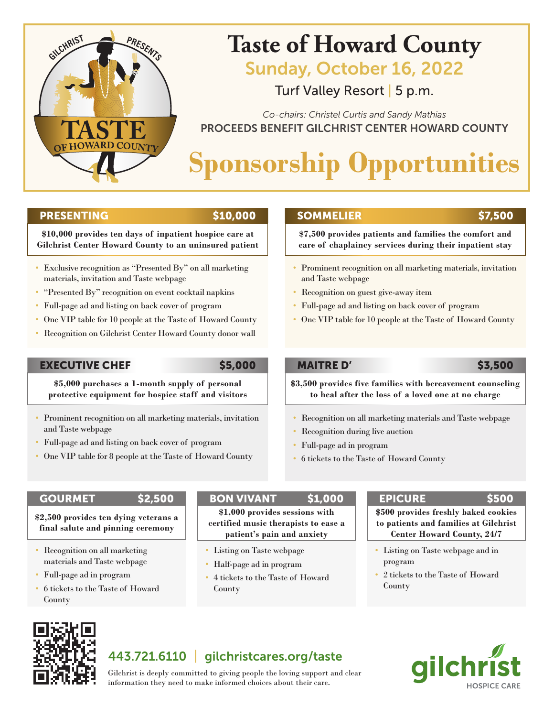

## **Taste of Howard County**

Sunday, October 16, 2022

Turf Valley Resort | 5 p.m.

PROCEEDS BENEFIT GILCHRIST CENTER HOWARD COUNTY *Co-chairs: Christel Curtis and Sandy Mathias*

# **Sponsorship Opportunities**

### PRESENTING \$10,000

**\$10,000 provides ten days of inpatient hospice care at Gilchrist Center Howard County to an uninsured patient**

- Exclusive recognition as "Presented By" on all marketing materials, invitation and Taste webpage
- "Presented By" recognition on event cocktail napkins
- Full-page ad and listing on back cover of program
- One VIP table for 10 people at the Taste of Howard County
- Recognition on Gilchrist Center Howard County donor wall

### EXECUTIVE CHEF \$5,000

**\$5,000 purchases a 1-month supply of personal protective equipment for hospice staff and visitors**

- Prominent recognition on all marketing materials, invitation and Taste webpage
- Full-page ad and listing on back cover of program
- One VIP table for 8 people at the Taste of Howard County

## SOMMELIER \$7,500

**\$7,500 provides patients and families the comfort and care of chaplaincy services during their inpatient stay**

- Prominent recognition on all marketing materials, invitation and Taste webpage
- Recognition on guest give-away item
- Full-page ad and listing on back cover of program
- One VIP table for 10 people at the Taste of Howard County

## **MAITRE D'** \$3,500

**\$3,500 provides five families with bereavement counseling to heal after the loss of a loved one at no charge**

- Recognition on all marketing materials and Taste webpage
- Recognition during live auction
- Full-page ad in program
- 6 tickets to the Taste of Howard County

**\$2,500 provides ten dying veterans a final salute and pinning ceremony**

- Recognition on all marketing materials and Taste webpage
- Full-page ad in program
- 6 tickets to the Taste of Howard County

## GOURMET \$2,500 BON VIVANT \$1,000 EPICURE \$500

**\$1,000 provides sessions with certified music therapists to ease a patient's pain and anxiety**

- Listing on Taste webpage
- Half-page ad in program
- 4 tickets to the Taste of Howard County

**\$500 provides freshly baked cookies to patients and families at Gilchrist Center Howard County, 24/7**

- Listing on Taste webpage and in program
- 2 tickets to the Taste of Howard County



## 443.721.6110 | gilchristcares.org/taste

**HOSPICE CARE** 

Gilchrist is deeply committed to giving people the loving support and clear information they need to make informed choices about their care.